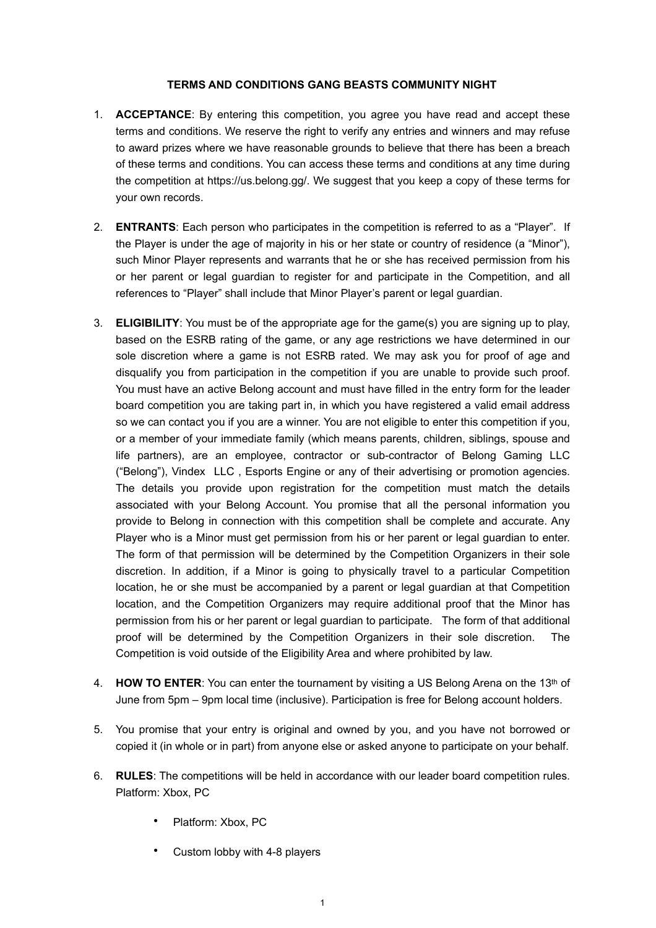## **TERMS AND CONDITIONS GANG BEASTS COMMUNITY NIGHT**

- 1. **ACCEPTANCE**: By entering this competition, you agree you have read and accept these terms and conditions. We reserve the right to verify any entries and winners and may refuse to award prizes where we have reasonable grounds to believe that there has been a breach of these terms and conditions. You can access these terms and conditions at any time during the competition at https://us.belong.gg/. We suggest that you keep a copy of these terms for your own records.
- 2. **ENTRANTS**: Each person who participates in the competition is referred to as a "Player". If the Player is under the age of majority in his or her state or country of residence (a "Minor"), such Minor Player represents and warrants that he or she has received permission from his or her parent or legal guardian to register for and participate in the Competition, and all references to "Player" shall include that Minor Player's parent or legal guardian.
- 3. **ELIGIBILITY**: You must be of the appropriate age for the game(s) you are signing up to play, based on the ESRB rating of the game, or any age restrictions we have determined in our sole discretion where a game is not ESRB rated. We may ask you for proof of age and disqualify you from participation in the competition if you are unable to provide such proof. You must have an active Belong account and must have filled in the entry form for the leader board competition you are taking part in, in which you have registered a valid email address so we can contact you if you are a winner. You are not eligible to enter this competition if you, or a member of your immediate family (which means parents, children, siblings, spouse and life partners), are an employee, contractor or sub-contractor of Belong Gaming LLC ("Belong"), Vindex LLC , Esports Engine or any of their advertising or promotion agencies. The details you provide upon registration for the competition must match the details associated with your Belong Account. You promise that all the personal information you provide to Belong in connection with this competition shall be complete and accurate. Any Player who is a Minor must get permission from his or her parent or legal guardian to enter. The form of that permission will be determined by the Competition Organizers in their sole discretion. In addition, if a Minor is going to physically travel to a particular Competition location, he or she must be accompanied by a parent or legal guardian at that Competition location, and the Competition Organizers may require additional proof that the Minor has permission from his or her parent or legal guardian to participate. The form of that additional proof will be determined by the Competition Organizers in their sole discretion. The Competition is void outside of the Eligibility Area and where prohibited by law.
- 4. **HOW TO ENTER**: You can enter the tournament by visiting a US Belong Arena on the 13th of June from 5pm – 9pm local time (inclusive). Participation is free for Belong account holders.
- 5. You promise that your entry is original and owned by you, and you have not borrowed or copied it (in whole or in part) from anyone else or asked anyone to participate on your behalf.
- 6. **RULES**: The competitions will be held in accordance with our leader board competition rules. Platform: Xbox, PC
	- Platform: Xbox, PC
	- Custom lobby with 4-8 players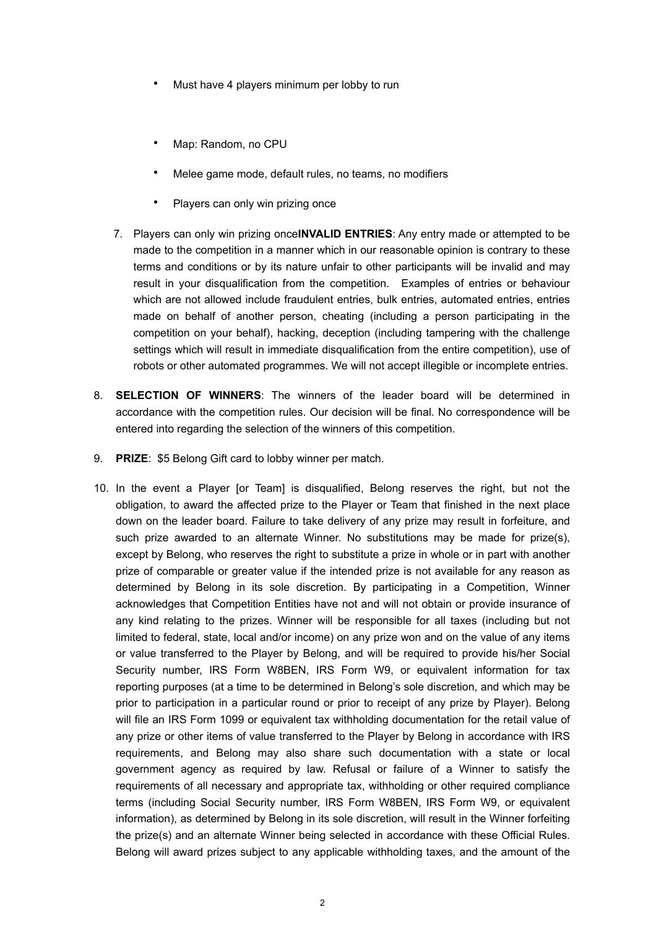- Must have 4 players minimum per lobby to run
- Map: Random, no CPU
- Melee game mode, default rules, no teams, no modifiers
- Players can only win prizing once
- 7. Players can only win prizing once**INVALID ENTRIES**: Any entry made or attempted to be made to the competition in a manner which in our reasonable opinion is contrary to these terms and conditions or by its nature unfair to other participants will be invalid and may result in your disqualification from the competition. Examples of entries or behaviour which are not allowed include fraudulent entries, bulk entries, automated entries, entries made on behalf of another person, cheating (including a person participating in the competition on your behalf), hacking, deception (including tampering with the challenge settings which will result in immediate disqualification from the entire competition), use of robots or other automated programmes. We will not accept illegible or incomplete entries.
- 8. **SELECTION OF WINNERS**: The winners of the leader board will be determined in accordance with the competition rules. Our decision will be final. No correspondence will be entered into regarding the selection of the winners of this competition.
- 9. **PRIZE**: \$5 Belong Gift card to lobby winner per match.
- 10. In the event a Player [or Team] is disqualified, Belong reserves the right, but not the obligation, to award the affected prize to the Player or Team that finished in the next place down on the leader board. Failure to take delivery of any prize may result in forfeiture, and such prize awarded to an alternate Winner. No substitutions may be made for prize(s), except by Belong, who reserves the right to substitute a prize in whole or in part with another prize of comparable or greater value if the intended prize is not available for any reason as determined by Belong in its sole discretion. By participating in a Competition, Winner acknowledges that Competition Entities have not and will not obtain or provide insurance of any kind relating to the prizes. Winner will be responsible for all taxes (including but not limited to federal, state, local and/or income) on any prize won and on the value of any items or value transferred to the Player by Belong, and will be required to provide his/her Social Security number, IRS Form W8BEN, IRS Form W9, or equivalent information for tax reporting purposes (at a time to be determined in Belong's sole discretion, and which may be prior to participation in a particular round or prior to receipt of any prize by Player). Belong will file an IRS Form 1099 or equivalent tax withholding documentation for the retail value of any prize or other items of value transferred to the Player by Belong in accordance with IRS requirements, and Belong may also share such documentation with a state or local government agency as required by law. Refusal or failure of a Winner to satisfy the requirements of all necessary and appropriate tax, withholding or other required compliance terms (including Social Security number, IRS Form W8BEN, IRS Form W9, or equivalent information), as determined by Belong in its sole discretion, will result in the Winner forfeiting the prize(s) and an alternate Winner being selected in accordance with these Official Rules. Belong will award prizes subject to any applicable withholding taxes, and the amount of the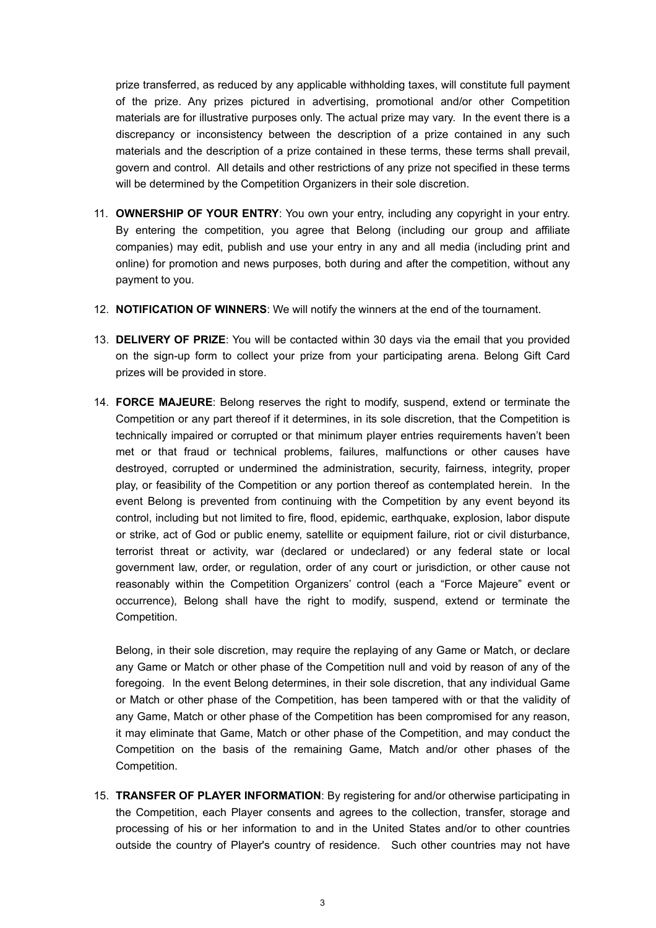prize transferred, as reduced by any applicable withholding taxes, will constitute full payment of the prize. Any prizes pictured in advertising, promotional and/or other Competition materials are for illustrative purposes only. The actual prize may vary. In the event there is a discrepancy or inconsistency between the description of a prize contained in any such materials and the description of a prize contained in these terms, these terms shall prevail, govern and control. All details and other restrictions of any prize not specified in these terms will be determined by the Competition Organizers in their sole discretion.

- 11. **OWNERSHIP OF YOUR ENTRY**: You own your entry, including any copyright in your entry. By entering the competition, you agree that Belong (including our group and affiliate companies) may edit, publish and use your entry in any and all media (including print and online) for promotion and news purposes, both during and after the competition, without any payment to you.
- 12. **NOTIFICATION OF WINNERS**: We will notify the winners at the end of the tournament.
- 13. **DELIVERY OF PRIZE**: You will be contacted within 30 days via the email that you provided on the sign-up form to collect your prize from your participating arena. Belong Gift Card prizes will be provided in store.
- 14. **FORCE MAJEURE**: Belong reserves the right to modify, suspend, extend or terminate the Competition or any part thereof if it determines, in its sole discretion, that the Competition is technically impaired or corrupted or that minimum player entries requirements haven't been met or that fraud or technical problems, failures, malfunctions or other causes have destroyed, corrupted or undermined the administration, security, fairness, integrity, proper play, or feasibility of the Competition or any portion thereof as contemplated herein. In the event Belong is prevented from continuing with the Competition by any event beyond its control, including but not limited to fire, flood, epidemic, earthquake, explosion, labor dispute or strike, act of God or public enemy, satellite or equipment failure, riot or civil disturbance, terrorist threat or activity, war (declared or undeclared) or any federal state or local government law, order, or regulation, order of any court or jurisdiction, or other cause not reasonably within the Competition Organizers' control (each a "Force Majeure" event or occurrence), Belong shall have the right to modify, suspend, extend or terminate the Competition.

Belong, in their sole discretion, may require the replaying of any Game or Match, or declare any Game or Match or other phase of the Competition null and void by reason of any of the foregoing. In the event Belong determines, in their sole discretion, that any individual Game or Match or other phase of the Competition, has been tampered with or that the validity of any Game, Match or other phase of the Competition has been compromised for any reason, it may eliminate that Game, Match or other phase of the Competition, and may conduct the Competition on the basis of the remaining Game, Match and/or other phases of the Competition.

15. **TRANSFER OF PLAYER INFORMATION**: By registering for and/or otherwise participating in the Competition, each Player consents and agrees to the collection, transfer, storage and processing of his or her information to and in the United States and/or to other countries outside the country of Player's country of residence. Such other countries may not have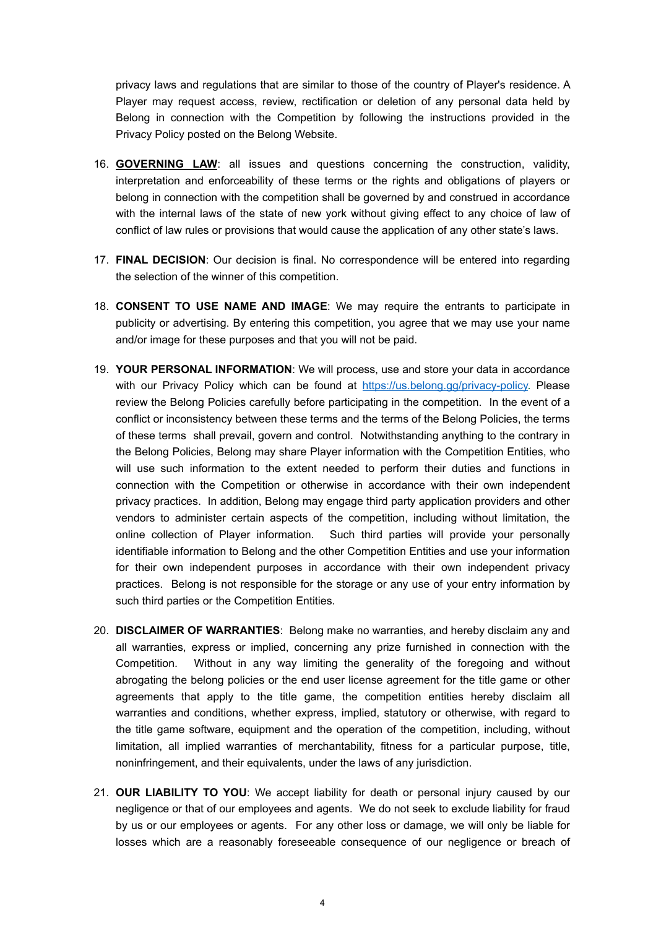privacy laws and regulations that are similar to those of the country of Player's residence. A Player may request access, review, rectification or deletion of any personal data held by Belong in connection with the Competition by following the instructions provided in the Privacy Policy posted on the Belong Website.

- 16. **GOVERNING LAW**: all issues and questions concerning the construction, validity, interpretation and enforceability of these terms or the rights and obligations of players or belong in connection with the competition shall be governed by and construed in accordance with the internal laws of the state of new york without giving effect to any choice of law of conflict of law rules or provisions that would cause the application of any other state's laws.
- 17. **FINAL DECISION**: Our decision is final. No correspondence will be entered into regarding the selection of the winner of this competition.
- 18. **CONSENT TO USE NAME AND IMAGE**: We may require the entrants to participate in publicity or advertising. By entering this competition, you agree that we may use your name and/or image for these purposes and that you will not be paid.
- 19. **YOUR PERSONAL INFORMATION**: We will process, use and store your data in accordance with our Privacy Policy which can be found at [https://us.belong.gg/privacy-policy.](https://us.belong.gg/privacy-policy) Please review the Belong Policies carefully before participating in the competition. In the event of a conflict or inconsistency between these terms and the terms of the Belong Policies, the terms of these terms shall prevail, govern and control. Notwithstanding anything to the contrary in the Belong Policies, Belong may share Player information with the Competition Entities, who will use such information to the extent needed to perform their duties and functions in connection with the Competition or otherwise in accordance with their own independent privacy practices. In addition, Belong may engage third party application providers and other vendors to administer certain aspects of the competition, including without limitation, the online collection of Player information. Such third parties will provide your personally identifiable information to Belong and the other Competition Entities and use your information for their own independent purposes in accordance with their own independent privacy practices. Belong is not responsible for the storage or any use of your entry information by such third parties or the Competition Entities.
- 20. **DISCLAIMER OF WARRANTIES**: Belong make no warranties, and hereby disclaim any and all warranties, express or implied, concerning any prize furnished in connection with the Competition. Without in any way limiting the generality of the foregoing and without abrogating the belong policies or the end user license agreement for the title game or other agreements that apply to the title game, the competition entities hereby disclaim all warranties and conditions, whether express, implied, statutory or otherwise, with regard to the title game software, equipment and the operation of the competition, including, without limitation, all implied warranties of merchantability, fitness for a particular purpose, title, noninfringement, and their equivalents, under the laws of any jurisdiction.
- 21. **OUR LIABILITY TO YOU**: We accept liability for death or personal injury caused by our negligence or that of our employees and agents. We do not seek to exclude liability for fraud by us or our employees or agents. For any other loss or damage, we will only be liable for losses which are a reasonably foreseeable consequence of our negligence or breach of